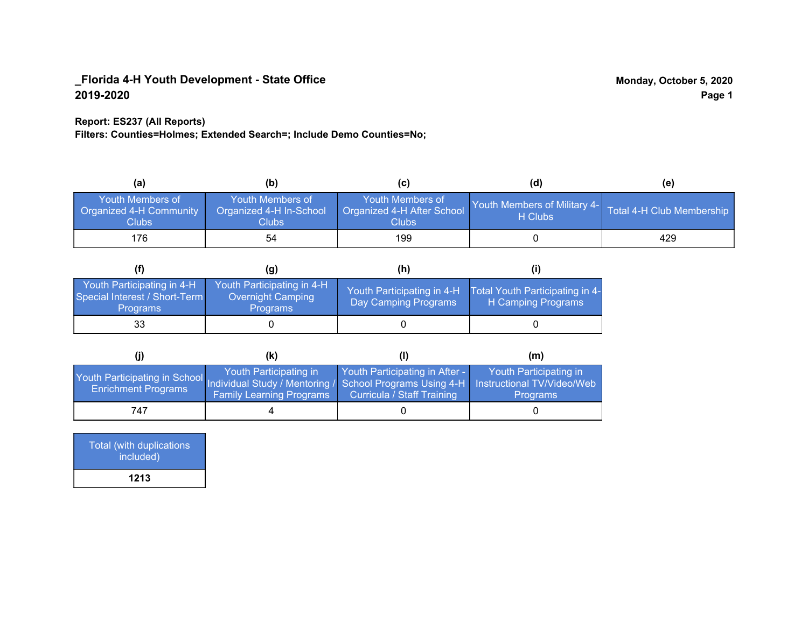### **Report: ES237 (All Reports)**

**Filters: Counties=Holmes; Extended Search=; Include Demo Counties=No;**

| (a)                                                         | (b)                                                   | (C)                                                       | (d)                                     | (e)                       |
|-------------------------------------------------------------|-------------------------------------------------------|-----------------------------------------------------------|-----------------------------------------|---------------------------|
| <b>Youth Members of</b><br>Organized 4-H Community<br>Clubs | Youth Members of<br>Organized 4-H In-School<br>Clubs: | Youth Members of<br>Organized 4-H After School<br>Clubs : | Youth Members of Military 4-<br>H Clubs | Total 4-H Club Membership |
| 176                                                         | 54                                                    | 199                                                       |                                         | 429                       |

|                                                                                | (g)                                                                | (h)                                                |                                                       |
|--------------------------------------------------------------------------------|--------------------------------------------------------------------|----------------------------------------------------|-------------------------------------------------------|
| Youth Participating in 4-H<br>Special Interest / Short-Term<br><b>Programs</b> | Youth Participating in 4-H<br><b>Overnight Camping</b><br>Programs | Youth Participating in 4-H<br>Day Camping Programs | Total Youth Participating in 4-<br>H Camping Programs |
| 33                                                                             |                                                                    |                                                    |                                                       |

|                                                                                                                                                 | (k)                                                       |                                                              | (m)                                       |
|-------------------------------------------------------------------------------------------------------------------------------------------------|-----------------------------------------------------------|--------------------------------------------------------------|-------------------------------------------|
| Youth Participating in School Individual Study / Mentoring / School Programs Using 4-H Instructional TV/Video/Web<br><b>Enrichment Programs</b> | Youth Participating in<br><b>Family Learning Programs</b> | Youth Participating in After -<br>Curricula / Staff Training | Youth Participating in<br><b>Programs</b> |
| 747                                                                                                                                             |                                                           |                                                              |                                           |

| <b>Total (with duplications)</b><br>included) |  |
|-----------------------------------------------|--|
| 1213                                          |  |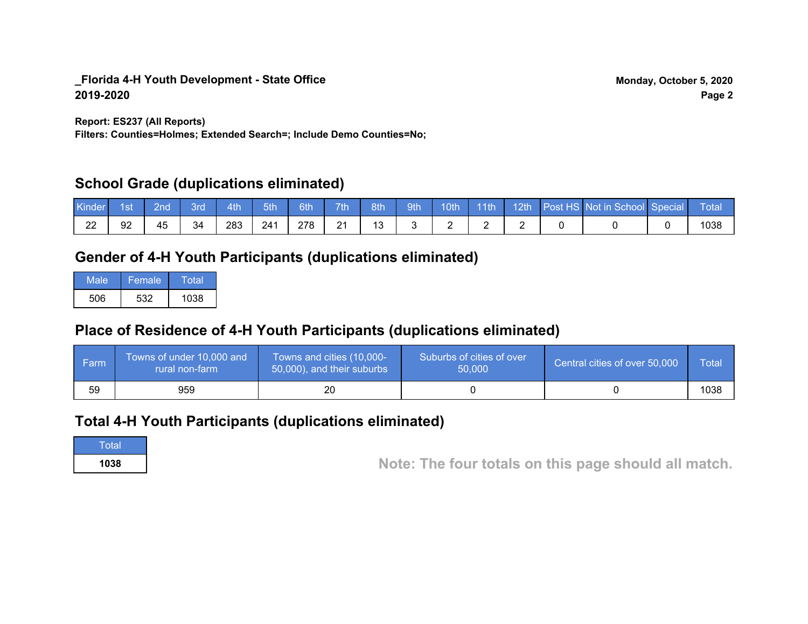**Report: ES237 (All Reports)**

**Filters: Counties=Holmes; Extended Search=; Include Demo Counties=No;**

## **School Grade (duplications eliminated)**

| Kinder | 1st | 2nd | Brd | 4th | 5th | 6th | 7th                  | 8th | 9th | 10 <sub>th</sub> | l 11th | $-12th$ | <b>Post HS Not in School Special</b> | Total |
|--------|-----|-----|-----|-----|-----|-----|----------------------|-----|-----|------------------|--------|---------|--------------------------------------|-------|
| 22     | 92  | 45  | 34  | 283 | 241 | 278 | $\Omega$<br><u>_</u> |     |     |                  |        |         |                                      | 1038  |

## **Gender of 4-H Youth Participants (duplications eliminated)**

| Male | Female | Total |
|------|--------|-------|
| 506  | 532    | 1038  |

## **Place of Residence of 4-H Youth Participants (duplications eliminated)**

| l Farm | Towns of under 10,000 and<br>rural non-farm | Towns and cities (10,000-<br>50,000), and their suburbs | Suburbs of cities of over<br>50,000 | Central cities of over 50,000 | Total |
|--------|---------------------------------------------|---------------------------------------------------------|-------------------------------------|-------------------------------|-------|
| 59     | 959                                         |                                                         |                                     |                               | 1038  |

## **Total 4-H Youth Participants (duplications eliminated)**

**Total** 

**<sup>1038</sup> Note: The four totals on this page should all match.**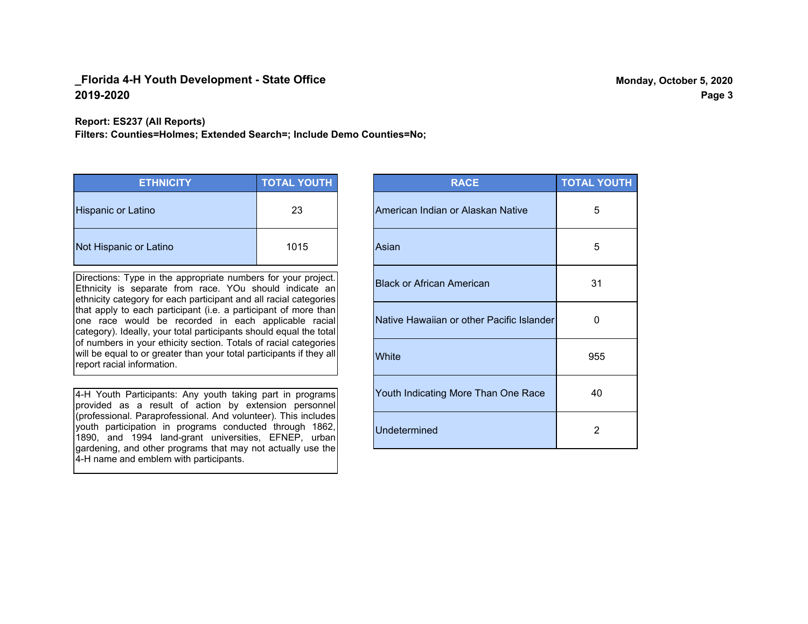#### **Report: ES237 (All Reports)**

**Filters: Counties=Holmes; Extended Search=; Include Demo Counties=No;**

| <b>ETHNICITY</b>          | <b>TOTAL YOUTH</b> |
|---------------------------|--------------------|
| <b>Hispanic or Latino</b> | 23                 |
| Not Hispanic or Latino    | 1015               |

Directions: Type in the appropriate numbers for your project. Ethnicity is separate from race. YOu should indicate an ethnicity category for each participant and all racial categories that apply to each participant (i.e. a participant of more than one race would be recorded in each applicable racial category). Ideally, your total participants should equal the total of numbers in your ethicity section. Totals of racial categories will be equal to or greater than your total participants if they all report racial information.

4-H Youth Participants: Any youth taking part in programs provided as a result of action by extension personnel (professional. Paraprofessional. And volunteer). This includes youth participation in programs conducted through 1862, 1890, and 1994 land-grant universities, EFNEP, urban gardening, and other programs that may not actually use the 4-H name and emblem with participants.

| <b>RACE</b>                               | <b>TOTAL YOUTH</b> |
|-------------------------------------------|--------------------|
| American Indian or Alaskan Native         | 5                  |
| Asian                                     | 5                  |
| <b>Black or African American</b>          | 31                 |
| Native Hawaiian or other Pacific Islander | O                  |
| White                                     | 955                |
| Youth Indicating More Than One Race       | 40                 |
| <b>Undetermined</b>                       | $\overline{2}$     |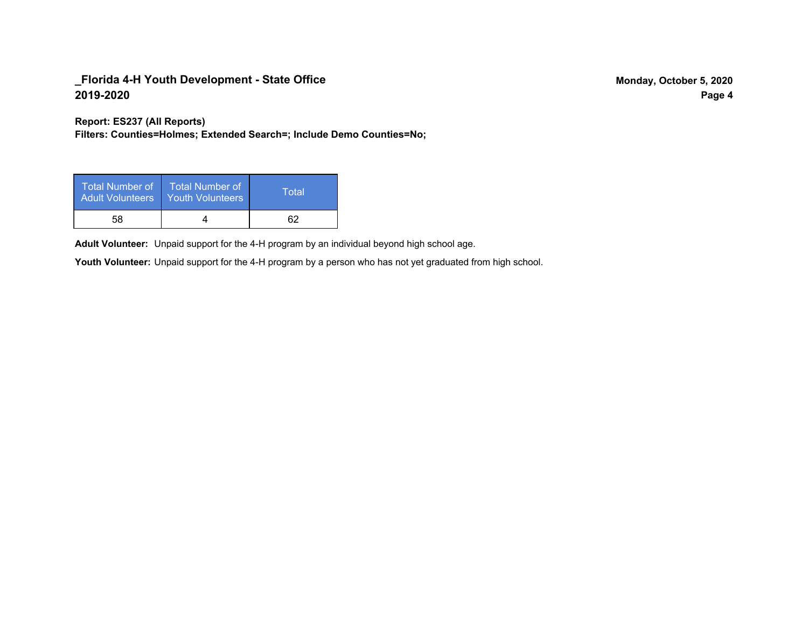**Report: ES237 (All Reports)**

**Filters: Counties=Holmes; Extended Search=; Include Demo Counties=No;**

| Total Number of<br><b>Adult Volunteers</b> | <b>Total Number of</b><br><b>Youth Volunteers</b> | Total |
|--------------------------------------------|---------------------------------------------------|-------|
| 58                                         |                                                   |       |

Adult Volunteer: Unpaid support for the 4-H program by an individual beyond high school age.

Youth Volunteer: Unpaid support for the 4-H program by a person who has not yet graduated from high school.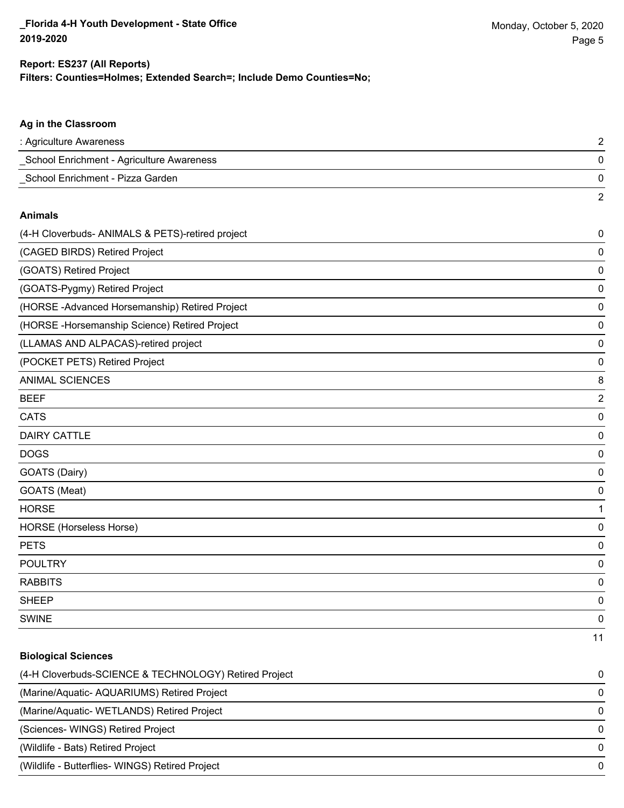**Biological Sciences**

#### **Filters: Counties=Holmes; Extended Search=; Include Demo Counties=No; Report: ES237 (All Reports)**

# **Ag in the Classroom** : Agriculture Awareness 2 \_School Enrichment - Agriculture Awareness 0 \_School Enrichment - Pizza Garden 0 2 **Animals** (4-H Cloverbuds- ANIMALS & PETS)-retired project 0 (CAGED BIRDS) Retired Project 0 (GOATS) Retired Project 0 (GOATS-Pygmy) Retired Project 0 (HORSE -Advanced Horsemanship) Retired Project 0 (HORSE -Horsemanship Science) Retired Project 0 (LLAMAS AND ALPACAS)-retired project 0 (POCKET PETS) Retired Project 0 ANIMAL SCIENCES 8 BEEF 2 CATS 0 DAIRY CATTLE 0 DOGS 0 GOATS (Dairy) 0 GOATS (Meat) 0 HORSE 1 HORSE (Horseless Horse) 0

PETS 0 POULTRY 0 RABBITS 0 sheep to the control of the control of the control of the control of the control of the control of the control of the control of the control of the control of the control of the control of the control of the control of the SWINE 0 11

# (4-H Cloverbuds-SCIENCE & TECHNOLOGY) Retired Project 0 (Marine/Aquatic- AQUARIUMS) Retired Project 0 (Marine/Aquatic- WETLANDS) Retired Project 0 (Sciences- WINGS) Retired Project 0 (Wildlife - Bats) Retired Project 0 (Wildlife - Butterflies- WINGS) Retired Project 0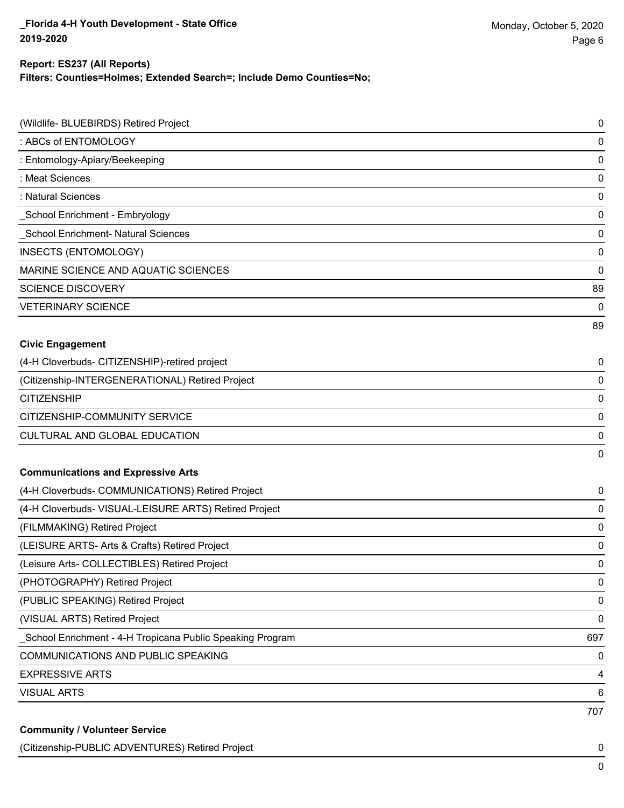#### **Filters: Counties=Holmes; Extended Search=; Include Demo Counties=No; Report: ES237 (All Reports)**

| (Wildlife- BLUEBIRDS) Retired Project                      | 0   |
|------------------------------------------------------------|-----|
| : ABCs of ENTOMOLOGY                                       | 0   |
| : Entomology-Apiary/Beekeeping                             | 0   |
| : Meat Sciences                                            | 0   |
| : Natural Sciences                                         | 0   |
| _School Enrichment - Embryology                            | 0   |
| School Enrichment- Natural Sciences                        | 0   |
| INSECTS (ENTOMOLOGY)                                       | 0   |
| MARINE SCIENCE AND AQUATIC SCIENCES                        | 0   |
| <b>SCIENCE DISCOVERY</b>                                   | 89  |
| <b>VETERINARY SCIENCE</b>                                  | 0   |
|                                                            | 89  |
| <b>Civic Engagement</b>                                    |     |
| (4-H Cloverbuds- CITIZENSHIP)-retired project              | 0   |
| (Citizenship-INTERGENERATIONAL) Retired Project            | 0   |
| <b>CITIZENSHIP</b>                                         | 0   |
| CITIZENSHIP-COMMUNITY SERVICE                              | 0   |
| CULTURAL AND GLOBAL EDUCATION                              | 0   |
|                                                            | 0   |
| <b>Communications and Expressive Arts</b>                  |     |
| (4-H Cloverbuds- COMMUNICATIONS) Retired Project           | 0   |
| (4-H Cloverbuds- VISUAL-LEISURE ARTS) Retired Project      | 0   |
| (FILMMAKING) Retired Project                               | 0   |
| (LEISURE ARTS- Arts & Crafts) Retired Project              | 0   |
| (Leisure Arts- COLLECTIBLES) Retired Project               | 0   |
| (PHOTOGRAPHY) Retired Project                              | 0   |
| (PUBLIC SPEAKING) Retired Project                          | 0   |
| (VISUAL ARTS) Retired Project                              | 0   |
| _School Enrichment - 4-H Tropicana Public Speaking Program | 697 |
| COMMUNICATIONS AND PUBLIC SPEAKING                         | 0   |
| <b>EXPRESSIVE ARTS</b>                                     | 4   |
| <b>VISUAL ARTS</b>                                         | 6   |
|                                                            | 707 |
| <b>Community / Volunteer Service</b>                       |     |

(Citizenship-PUBLIC ADVENTURES) Retired Project 0

0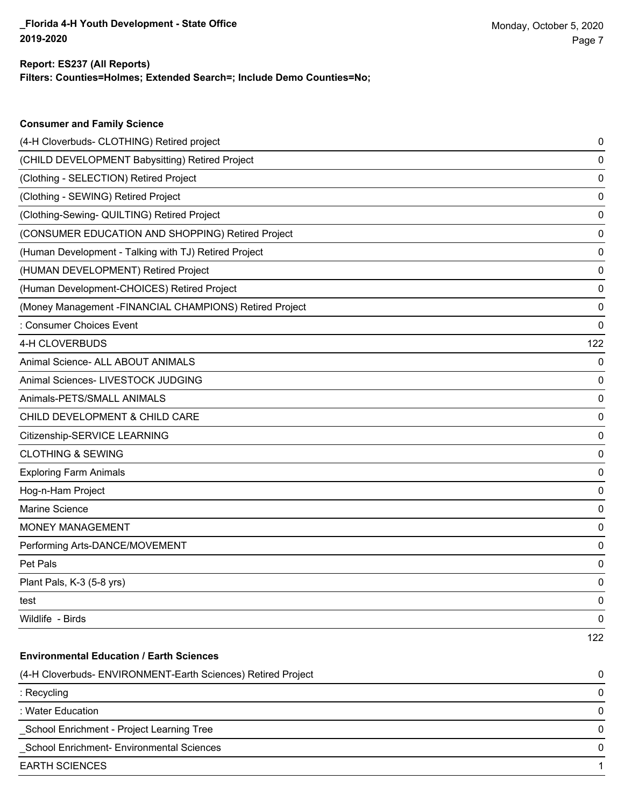**Consumer and Family Science**

#### **Filters: Counties=Holmes; Extended Search=; Include Demo Counties=No; Report: ES237 (All Reports)**

| (4-H Cloverbuds- CLOTHING) Retired project                   | 0   |
|--------------------------------------------------------------|-----|
| (CHILD DEVELOPMENT Babysitting) Retired Project              | 0   |
| (Clothing - SELECTION) Retired Project                       | 0   |
| (Clothing - SEWING) Retired Project                          | 0   |
| (Clothing-Sewing- QUILTING) Retired Project                  | 0   |
| (CONSUMER EDUCATION AND SHOPPING) Retired Project            | 0   |
| (Human Development - Talking with TJ) Retired Project        | 0   |
| (HUMAN DEVELOPMENT) Retired Project                          | 0   |
| (Human Development-CHOICES) Retired Project                  | 0   |
| (Money Management -FINANCIAL CHAMPIONS) Retired Project      | 0   |
| : Consumer Choices Event                                     | 0   |
| 4-H CLOVERBUDS                                               | 122 |
| Animal Science- ALL ABOUT ANIMALS                            | 0   |
| Animal Sciences- LIVESTOCK JUDGING                           | 0   |
| Animals-PETS/SMALL ANIMALS                                   | 0   |
| CHILD DEVELOPMENT & CHILD CARE                               | 0   |
| Citizenship-SERVICE LEARNING                                 | 0   |
| <b>CLOTHING &amp; SEWING</b>                                 | 0   |
| <b>Exploring Farm Animals</b>                                | 0   |
| Hog-n-Ham Project                                            | 0   |
| Marine Science                                               | 0   |
| <b>MONEY MANAGEMENT</b>                                      | 0   |
| Performing Arts-DANCE/MOVEMENT                               | 0   |
| Pet Pals                                                     | 0   |
| Plant Pals, K-3 (5-8 yrs)                                    | 0   |
| test                                                         | 0   |
| Wildlife - Birds                                             | 0   |
|                                                              | 122 |
| <b>Environmental Education / Earth Sciences</b>              |     |
| (4-H Cloverbuds- ENVIRONMENT-Earth Sciences) Retired Project | 0   |
| : Recycling                                                  | 0   |
| : Water Education                                            | 0   |
| School Enrichment - Project Learning Tree                    | 0   |
| School Enrichment- Environmental Sciences                    | 0   |
| <b>EARTH SCIENCES</b>                                        | 1   |
|                                                              |     |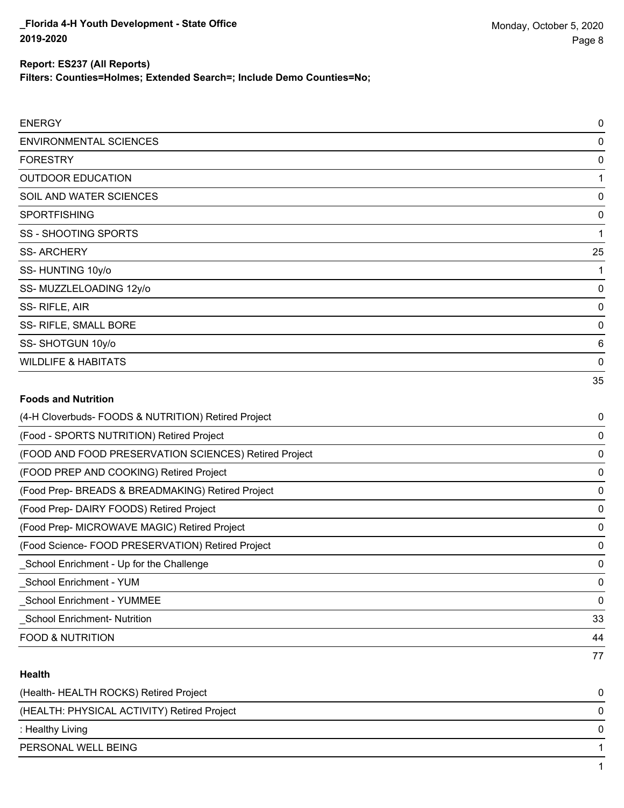**Filters: Counties=Holmes; Extended Search=; Include Demo Counties=No;**

| <b>ENERGY</b>                  | $\mathbf 0$     |
|--------------------------------|-----------------|
| <b>ENVIRONMENTAL SCIENCES</b>  | 0               |
| <b>FORESTRY</b>                | 0               |
| <b>OUTDOOR EDUCATION</b>       | 1               |
| SOIL AND WATER SCIENCES        | 0               |
| <b>SPORTFISHING</b>            | 0               |
| <b>SS - SHOOTING SPORTS</b>    | 1               |
| <b>SS-ARCHERY</b>              | 25              |
| SS-HUNTING 10y/o               |                 |
| SS-MUZZLELOADING 12y/o         | 0               |
| SS-RIFLE, AIR                  | 0               |
| SS- RIFLE, SMALL BORE          | 0               |
| SS-SHOTGUN 10y/o               | $6\phantom{1}6$ |
| <b>WILDLIFE &amp; HABITATS</b> | 0               |
|                                | 35              |
| <b>Foods and Nutrition</b>     |                 |

# (4-H Cloverbuds- FOODS & NUTRITION) Retired Project 0 (Food - SPORTS NUTRITION) Retired Project 0 (FOOD AND FOOD PRESERVATION SCIENCES) Retired Project 0 (FOOD PREP AND COOKING) Retired Project 0 (Food Prep- BREADS & BREADMAKING) Retired Project 0 (Food Prep- DAIRY FOODS) Retired Project 0 (Food Prep- MICROWAVE MAGIC) Retired Project 0 (Food Science- FOOD PRESERVATION) Retired Project 0 \_School Enrichment - Up for the Challenge 0 \_School Enrichment - YUM 0 \_School Enrichment - YUMMEE 0 \_School Enrichment- Nutrition 33 FOOD & NUTRITION 44 77

#### **Health**

| (Health-HEALTH ROCKS) Retired Project       |              |
|---------------------------------------------|--------------|
| (HEALTH: PHYSICAL ACTIVITY) Retired Project | 0            |
| : Healthy Living                            | <sup>n</sup> |
| PERSONAL WELL BEING                         |              |
|                                             |              |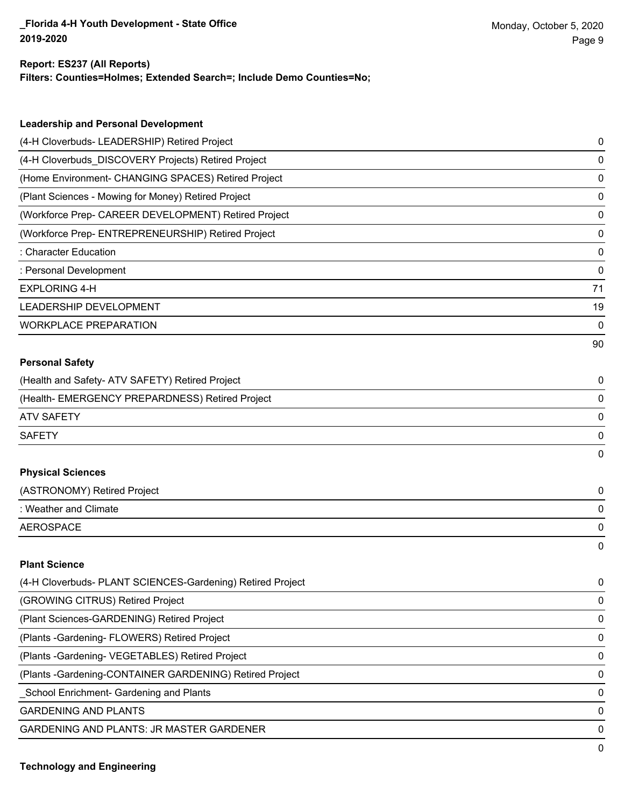#### **Report: ES237 (All Reports)**

**Filters: Counties=Holmes; Extended Search=; Include Demo Counties=No;**

| <b>Leadership and Personal Development</b>                 |    |
|------------------------------------------------------------|----|
| (4-H Cloverbuds- LEADERSHIP) Retired Project               | 0  |
| (4-H Cloverbuds_DISCOVERY Projects) Retired Project        | 0  |
| (Home Environment- CHANGING SPACES) Retired Project        | 0  |
| (Plant Sciences - Mowing for Money) Retired Project        | 0  |
| (Workforce Prep- CAREER DEVELOPMENT) Retired Project       | 0  |
| (Workforce Prep- ENTREPRENEURSHIP) Retired Project         | 0  |
| : Character Education                                      | 0  |
| : Personal Development                                     | 0  |
| <b>EXPLORING 4-H</b>                                       | 71 |
| LEADERSHIP DEVELOPMENT                                     | 19 |
| <b>WORKPLACE PREPARATION</b>                               | 0  |
|                                                            | 90 |
| <b>Personal Safety</b>                                     |    |
| (Health and Safety- ATV SAFETY) Retired Project            | 0  |
| (Health- EMERGENCY PREPARDNESS) Retired Project            | 0  |
| <b>ATV SAFETY</b>                                          | 0  |
| <b>SAFETY</b>                                              | 0  |
|                                                            | 0  |
| <b>Physical Sciences</b>                                   |    |
| (ASTRONOMY) Retired Project                                | 0  |
| : Weather and Climate                                      | 0  |
| <b>AEROSPACE</b>                                           | 0  |
|                                                            | 0  |
| <b>Plant Science</b>                                       |    |
| (4-H Cloverbuds- PLANT SCIENCES-Gardening) Retired Project | 0  |
| (GROWING CITRUS) Retired Project                           | 0  |
| (Plant Sciences-GARDENING) Retired Project                 | 0  |
| (Plants - Gardening - FLOWERS) Retired Project             | 0  |
| (Plants - Gardening - VEGETABLES) Retired Project          | 0  |
| (Plants - Gardening-CONTAINER GARDENING) Retired Project   | 0  |
| School Enrichment- Gardening and Plants                    | 0  |

GARDENING AND PLANTS 0

GARDENING AND PLANTS: JR MASTER GARDENER 0